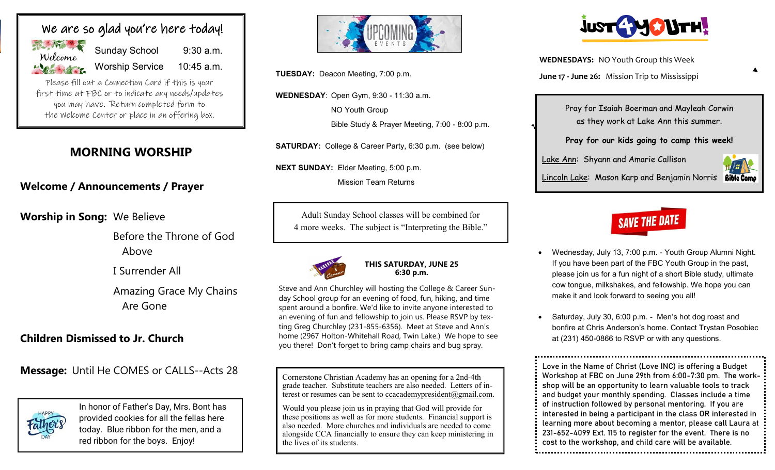

Worship Service 10:45 a.m.

Please fill out a Connection Card if this is your first time at FBC or to indicate any needs/updates you may have. Return completed form to the Welcome Center or place in an offering box.

# **MORNING WORSHIP**

# **Welcome / Announcements / Prayer**

**Worship in Song:** We Believe

Before the Throne of God Above

I Surrender All

Amazing Grace My Chains Are Gone

# **Children Dismissed to Jr. Church**

**Message:** Until He COMES or CALLS--Acts 28



In honor of Father's Day, Mrs. Bont has provided cookies for all the fellas here today. Blue ribbon for the men, and a red ribbon for the boys. Enjoy!



**WEDNESDAY**: Open Gym, 9:30 - 11:30 a.m.

NO Youth Group

Bible Study & Prayer Meeting, 7:00 - 8:00 p.m.

**SATURDAY:** College & Career Party, 6:30 p.m. (see below)

**NEXT SUNDAY:** Elder Meeting, 5:00 p.m.

Mission Team Returns

Adult Sunday School classes will be combined for 4 more weeks. The subject is "Interpreting the Bible."



## **THIS SATURDAY, JUNE 25 6:30 p.m.**

Steve and Ann Churchley will hosting the College & Career Sunday School group for an evening of food, fun, hiking, and time spent around a bonfire. We'd like to invite anyone interested to an evening of fun and fellowship to join us. Please RSVP by texting Greg Churchley (231-855-6356). Meet at Steve and Ann's home (2967 Holton-Whitehall Road, Twin Lake.) We hope to see you there! Don't forget to bring camp chairs and bug spray.

Cornerstone Christian Academy has an opening for a 2nd-4th grade teacher. Substitute teachers are also needed. Letters of interest or resumes can be sent to ccacademypresident@gmail.com.

Would you please join us in praying that God will provide for these positions as well as for more students. Financial support is also needed. More churches and individuals are needed to come alongside CCA financially to ensure they can keep ministering in the lives of its students.



**WEDNESDAYS:** NO Youth Group this Week **June 17 - June 26:** Mission Trip to Mississippi **TUESDAY:** Deacon Meeting, 7:00 p.m.

Pray for Isaiah Boerman and Mayleah Corwin as they work at Lake Ann this summer.

**Pray for our kids going to camp this week!**

Lake Ann: Shyann and Amarie Callison

Lincoln Lake: Mason Karp and Benjamin Norris **Bible Came** 

# **SAVE THE DATE**

- Wednesday, July 13, 7:00 p.m. Youth Group Alumni Night. If you have been part of the FBC Youth Group in the past, please join us for a fun night of a short Bible study, ultimate cow tongue, milkshakes, and fellowship. We hope you can make it and look forward to seeing you all!
- Saturday, July 30, 6:00 p.m. Men's hot dog roast and bonfire at Chris Anderson's home. Contact Trystan Posobiec at (231) 450-0866 to RSVP or with any questions.

Love in the Name of Christ (Love INC) is offering a Budget Workshop at FBC on June 29th from 6:00-7:30 pm. The workshop will be an opportunity to learn valuable tools to track and budget your monthly spending. Classes include a time of instruction followed by personal mentoring. If you are interested in being a participant in the class OR interested in learning more about becoming a mentor, please call Laura at 231-652-4099 Ext. 115 to register for the event. There is no cost to the workshop, and child care will be available.